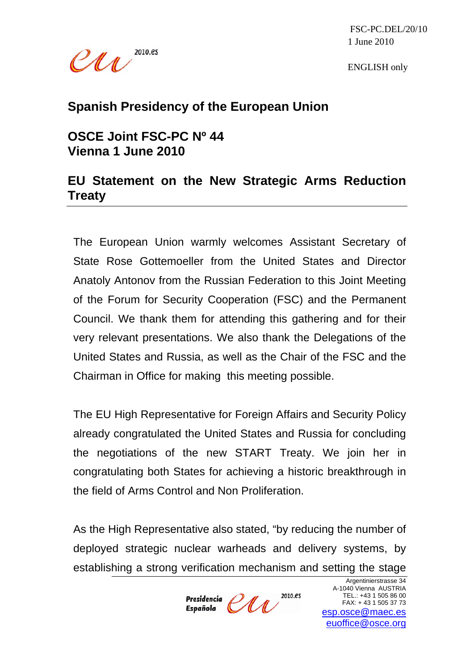

 FSC-PC.DEL/20/10 1 June 2010

ENGLISH only

## **Spanish Presidency of the European Union**

## **OSCE Joint FSC-PC Nº 44 Vienna 1 June 2010**

## **EU Statement on the New Strategic Arms Reduction Treaty**

The European Union warmly welcomes Assistant Secretary of State Rose Gottemoeller from the United States and Director Anatoly Antonov from the Russian Federation to this Joint Meeting of the Forum for Security Cooperation (FSC) and the Permanent Council. We thank them for attending this gathering and for their very relevant presentations. We also thank the Delegations of the United States and Russia, as well as the Chair of the FSC and the Chairman in Office for making this meeting possible.

The EU High Representative for Foreign Affairs and Security Policy already congratulated the United States and Russia for concluding the negotiations of the new START Treaty. We join her in congratulating both States for achieving a historic breakthrough in the field of Arms Control and Non Proliferation.

As the High Representative also stated, "by reducing the number of deployed strategic nuclear warheads and delivery systems, by establishing a strong verification mechanism and setting the stage

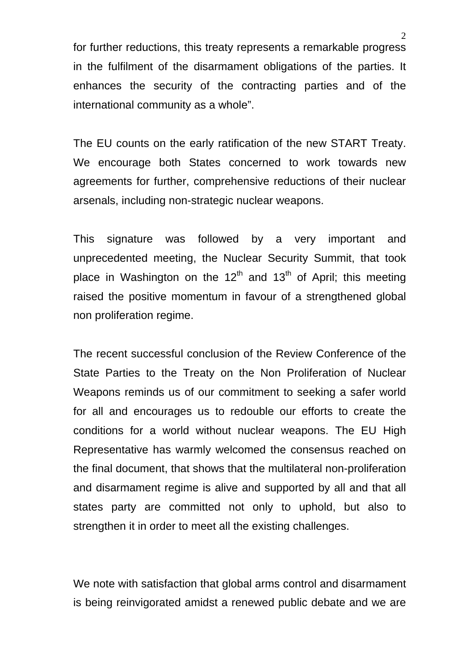for further reductions, this treaty represents a remarkable progress in the fulfilment of the disarmament obligations of the parties. It enhances the security of the contracting parties and of the international community as a whole".

The EU counts on the early ratification of the new START Treaty. We encourage both States concerned to work towards new agreements for further, comprehensive reductions of their nuclear arsenals, including non-strategic nuclear weapons.

This signature was followed by a very important and unprecedented meeting, the Nuclear Security Summit, that took place in Washington on the  $12<sup>th</sup>$  and  $13<sup>th</sup>$  of April; this meeting raised the positive momentum in favour of a strengthened global non proliferation regime.

The recent successful conclusion of the Review Conference of the State Parties to the Treaty on the Non Proliferation of Nuclear Weapons reminds us of our commitment to seeking a safer world for all and encourages us to redouble our efforts to create the conditions for a world without nuclear weapons. The EU High Representative has warmly welcomed the consensus reached on the final document, that shows that the multilateral non-proliferation and disarmament regime is alive and supported by all and that all states party are committed not only to uphold, but also to strengthen it in order to meet all the existing challenges.

We note with satisfaction that global arms control and disarmament is being reinvigorated amidst a renewed public debate and we are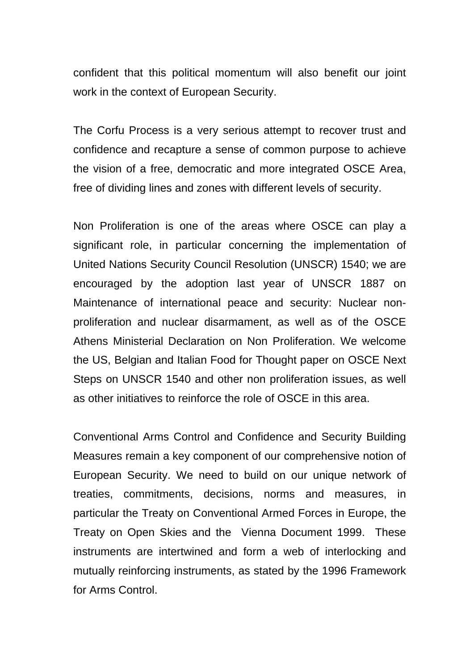confident that this political momentum will also benefit our joint work in the context of European Security.

The Corfu Process is a very serious attempt to recover trust and confidence and recapture a sense of common purpose to achieve the vision of a free, democratic and more integrated OSCE Area, free of dividing lines and zones with different levels of security.

Non Proliferation is one of the areas where OSCE can play a significant role, in particular concerning the implementation of United Nations Security Council Resolution (UNSCR) 1540; we are encouraged by the adoption last year of UNSCR 1887 on Maintenance of international peace and security: Nuclear nonproliferation and nuclear disarmament, as well as of the OSCE Athens Ministerial Declaration on Non Proliferation. We welcome the US, Belgian and Italian Food for Thought paper on OSCE Next Steps on UNSCR 1540 and other non proliferation issues, as well as other initiatives to reinforce the role of OSCE in this area.

Conventional Arms Control and Confidence and Security Building Measures remain a key component of our comprehensive notion of European Security. We need to build on our unique network of treaties, commitments, decisions, norms and measures, in particular the Treaty on Conventional Armed Forces in Europe, the Treaty on Open Skies and the Vienna Document 1999. These instruments are intertwined and form a web of interlocking and mutually reinforcing instruments, as stated by the 1996 Framework for Arms Control.